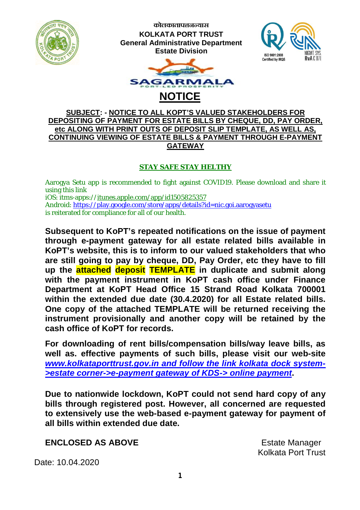

**कोलकाताप°नÆयास KOLKATA PORT TRUST General Administrative Department Estate Division**





## **SUBJECT: - NOTICE TO ALL KOPT'S VALUED STAKEHOLDERS FOR DEPOSITING OF PAYMENT FOR ESTATE BILLS BY CHEQUE, DD, PAY ORDER, etc ALONG WITH PRINT OUTS OF DEPOSIT SLIP TEMPLATE, AS WELL AS, CONTINUING VIEWING OF ESTATE BILLS & PAYMENT THROUGH E-PAYMENT GATEWAY**

## **STAY SAFE STAY HELTHY**

Aarogya Setu app is recommended to fight against COVID19. Please download and share it using this link iOS: itms-apps://itunes.apple.com/app/id1505825357 Android: <https://play.google.com/store/apps/details?id=nic.goi.aarogyasetu>

is reiterated for compliance for all of our health.

**Subsequent to KoPT's repeated notifications on the issue of payment through e-payment gateway for all estate related bills available in KoPT's website, this is to inform to our valued stakeholders that who are still going to pay by cheque, DD, Pay Order, etc they have to fill up the attached deposit TEMPLATE in duplicate and submit along with the payment instrument in KoPT cash office under Finance Department at KoPT Head Office 15 Strand Road Kolkata 700001 within the extended due date (30.4.2020) for all Estate related bills. One copy of the attached TEMPLATE will be returned receiving the instrument provisionally and another copy will be retained by the cash office of KoPT for records.**

**For downloading of rent bills/compensation bills/way leave bills, as well as. effective payments of such bills, please visit our web-site**  *[www.kolkataporttrust.gov.in](http://www.kolkataporttrust.gov.in) and follow the link kolkata dock system- >estate corner->e-payment gateway of KDS-> online payment***.**

**Due to nationwide lockdown, KoPT could not send hard copy of any bills through registered post. However, all concerned are requested to extensively use the web-based e-payment gateway for payment of all bills within extended due date.**

**ENCLOSED AS ABOVE ENCLOSED AS ABOVE** 

Kolkata Port Trust

Date: 10.04.2020